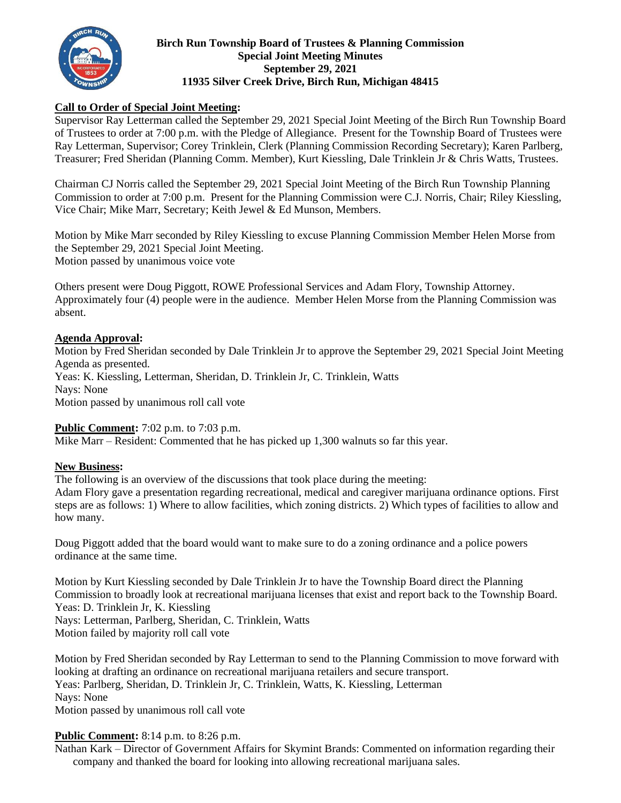

### **Birch Run Township Board of Trustees & Planning Commission Special Joint Meeting Minutes September 29, 2021 11935 Silver Creek Drive, Birch Run, Michigan 48415**

## **Call to Order of Special Joint Meeting:**

Supervisor Ray Letterman called the September 29, 2021 Special Joint Meeting of the Birch Run Township Board of Trustees to order at 7:00 p.m. with the Pledge of Allegiance. Present for the Township Board of Trustees were Ray Letterman, Supervisor; Corey Trinklein, Clerk (Planning Commission Recording Secretary); Karen Parlberg, Treasurer; Fred Sheridan (Planning Comm. Member), Kurt Kiessling, Dale Trinklein Jr & Chris Watts, Trustees.

Chairman CJ Norris called the September 29, 2021 Special Joint Meeting of the Birch Run Township Planning Commission to order at 7:00 p.m. Present for the Planning Commission were C.J. Norris, Chair; Riley Kiessling, Vice Chair; Mike Marr, Secretary; Keith Jewel & Ed Munson, Members.

Motion by Mike Marr seconded by Riley Kiessling to excuse Planning Commission Member Helen Morse from the September 29, 2021 Special Joint Meeting. Motion passed by unanimous voice vote

Others present were Doug Piggott, ROWE Professional Services and Adam Flory, Township Attorney. Approximately four (4) people were in the audience. Member Helen Morse from the Planning Commission was absent.

#### **Agenda Approval:**

Motion by Fred Sheridan seconded by Dale Trinklein Jr to approve the September 29, 2021 Special Joint Meeting Agenda as presented. Yeas: K. Kiessling, Letterman, Sheridan, D. Trinklein Jr, C. Trinklein, Watts Nays: None Motion passed by unanimous roll call vote

### **Public Comment:** 7:02 p.m. to 7:03 p.m.

Mike Marr – Resident: Commented that he has picked up 1,300 walnuts so far this year.

### **New Business:**

The following is an overview of the discussions that took place during the meeting: Adam Flory gave a presentation regarding recreational, medical and caregiver marijuana ordinance options. First steps are as follows: 1) Where to allow facilities, which zoning districts. 2) Which types of facilities to allow and how many.

Doug Piggott added that the board would want to make sure to do a zoning ordinance and a police powers ordinance at the same time.

Motion by Kurt Kiessling seconded by Dale Trinklein Jr to have the Township Board direct the Planning Commission to broadly look at recreational marijuana licenses that exist and report back to the Township Board. Yeas: D. Trinklein Jr, K. Kiessling Nays: Letterman, Parlberg, Sheridan, C. Trinklein, Watts Motion failed by majority roll call vote

Motion by Fred Sheridan seconded by Ray Letterman to send to the Planning Commission to move forward with looking at drafting an ordinance on recreational marijuana retailers and secure transport. Yeas: Parlberg, Sheridan, D. Trinklein Jr, C. Trinklein, Watts, K. Kiessling, Letterman Nays: None Motion passed by unanimous roll call vote

# **Public Comment:** 8:14 p.m. to 8:26 p.m.

Nathan Kark – Director of Government Affairs for Skymint Brands: Commented on information regarding their company and thanked the board for looking into allowing recreational marijuana sales.